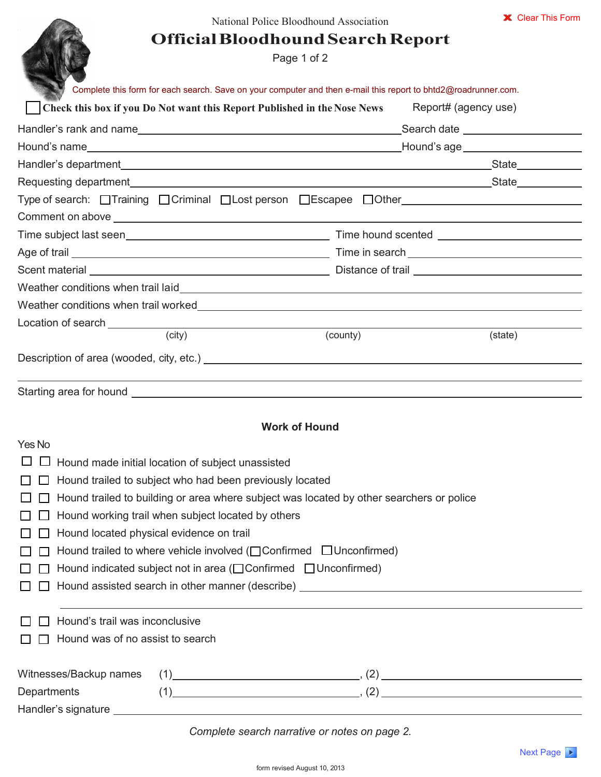## **Official Bloodhound SearchReport**

Page 1 of 2

| Complete this form for each search. Save on your computer and then e-mail this report to bhtd2@roadrunner.com.                                                                                                                                                                                                                                                |                      |         |                                          |  |  |
|---------------------------------------------------------------------------------------------------------------------------------------------------------------------------------------------------------------------------------------------------------------------------------------------------------------------------------------------------------------|----------------------|---------|------------------------------------------|--|--|
| Check this box if you Do Not want this Report Published in the Nose News                                                                                                                                                                                                                                                                                      | Report# (agency use) |         |                                          |  |  |
|                                                                                                                                                                                                                                                                                                                                                               |                      |         |                                          |  |  |
|                                                                                                                                                                                                                                                                                                                                                               |                      |         |                                          |  |  |
|                                                                                                                                                                                                                                                                                                                                                               |                      |         |                                          |  |  |
|                                                                                                                                                                                                                                                                                                                                                               |                      |         |                                          |  |  |
| Type of search: □Training □Criminal □Lost person □Escapee □Other                                                                                                                                                                                                                                                                                              |                      |         |                                          |  |  |
|                                                                                                                                                                                                                                                                                                                                                               |                      |         |                                          |  |  |
|                                                                                                                                                                                                                                                                                                                                                               |                      |         |                                          |  |  |
|                                                                                                                                                                                                                                                                                                                                                               |                      |         |                                          |  |  |
|                                                                                                                                                                                                                                                                                                                                                               |                      |         |                                          |  |  |
|                                                                                                                                                                                                                                                                                                                                                               |                      |         |                                          |  |  |
|                                                                                                                                                                                                                                                                                                                                                               |                      |         |                                          |  |  |
| Location of search <u>such and the set of the set of the set of the set of the set of the set of the set of the set of the set of the set of the set of the set of the set of the set of the set of the set of the set of the se</u><br><u> 1980 - Jan James, politik eta politik eta politik eta politik eta politik eta politik eta politik eta politik</u> |                      |         |                                          |  |  |
| (city)                                                                                                                                                                                                                                                                                                                                                        | (county)             | (state) |                                          |  |  |
|                                                                                                                                                                                                                                                                                                                                                               |                      |         |                                          |  |  |
|                                                                                                                                                                                                                                                                                                                                                               |                      |         |                                          |  |  |
| <b>Work of Hound</b>                                                                                                                                                                                                                                                                                                                                          |                      |         |                                          |  |  |
| Yes No                                                                                                                                                                                                                                                                                                                                                        |                      |         |                                          |  |  |
| Hound made initial location of subject unassisted                                                                                                                                                                                                                                                                                                             |                      |         |                                          |  |  |
| Hound trailed to subject who had been previously located<br>$\mathsf{L}$<br>Hound trailed to building or area where subject was located by other searchers or police<br>Hound working trail when subject located by others                                                                                                                                    |                      |         |                                          |  |  |
|                                                                                                                                                                                                                                                                                                                                                               |                      |         |                                          |  |  |
|                                                                                                                                                                                                                                                                                                                                                               |                      |         | Hound located physical evidence on trail |  |  |
| Hound trailed to where vehicle involved ( $\Box$ Confirmed $\Box$ Unconfirmed)                                                                                                                                                                                                                                                                                |                      |         |                                          |  |  |
|                                                                                                                                                                                                                                                                                                                                                               |                      |         |                                          |  |  |
| Hound indicated subject not in area (□ Confirmed □ Unconfirmed)                                                                                                                                                                                                                                                                                               |                      |         |                                          |  |  |
| Hound assisted search in other manner (describe) <b>Example 2018</b> 2019 12:00 12:00 12:00 12:00 12:00 12:00 12:00 12:00 12:00 12:00 12:00 12:00 12:00 12:00 12:00 12:00 12:00 12:00 12:00 12:00 12:00 12:00 12:00 12:00 12:00 12:                                                                                                                           |                      |         |                                          |  |  |
| Hound's trail was inconclusive                                                                                                                                                                                                                                                                                                                                |                      |         |                                          |  |  |
| Hound was of no assist to search                                                                                                                                                                                                                                                                                                                              |                      |         |                                          |  |  |
|                                                                                                                                                                                                                                                                                                                                                               |                      |         |                                          |  |  |
| Witnesses/Backup names                                                                                                                                                                                                                                                                                                                                        |                      |         |                                          |  |  |
| $(1)$ (1)<br>Departments                                                                                                                                                                                                                                                                                                                                      |                      |         |                                          |  |  |

*Complete search narrative or notes on page 2.*